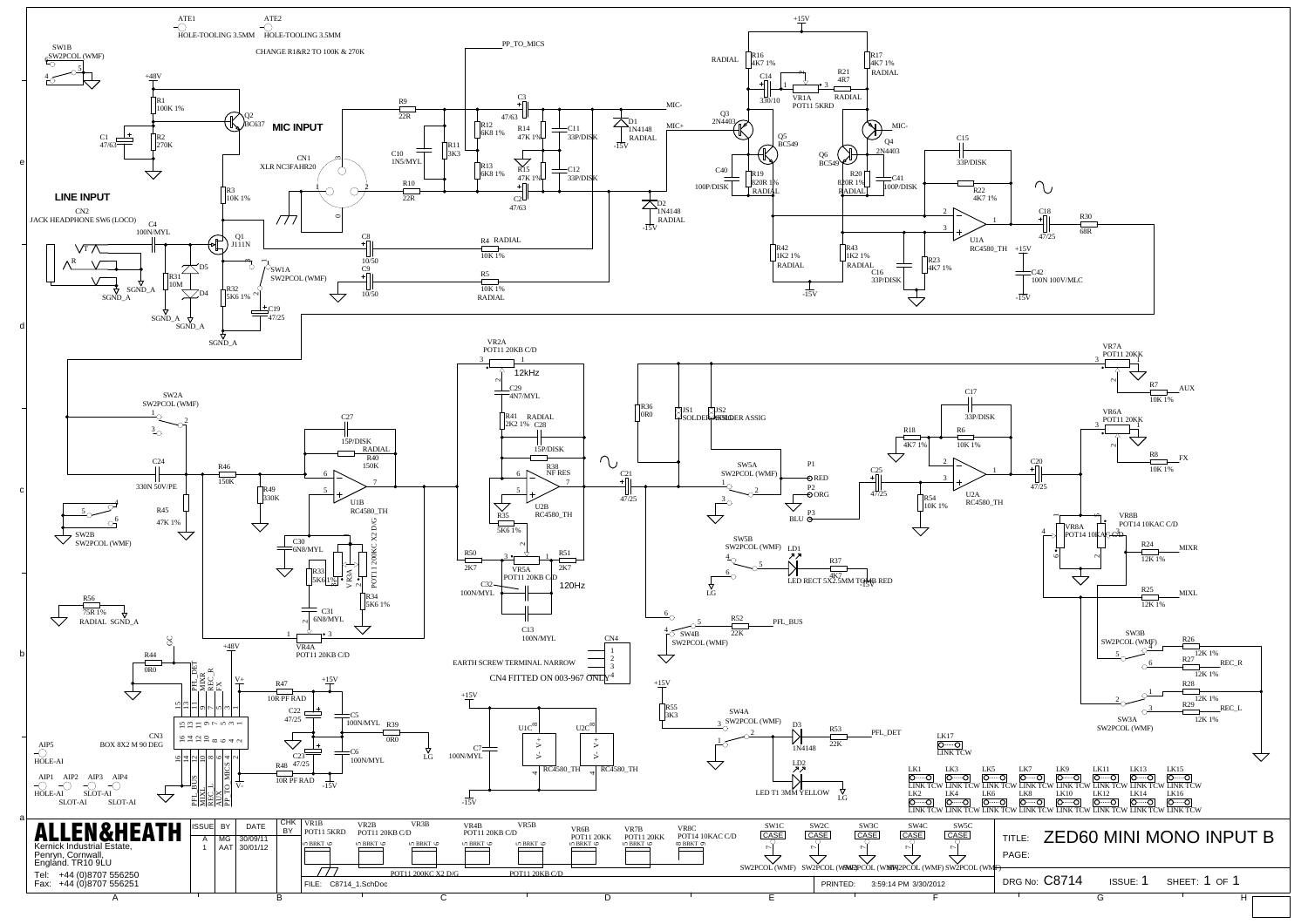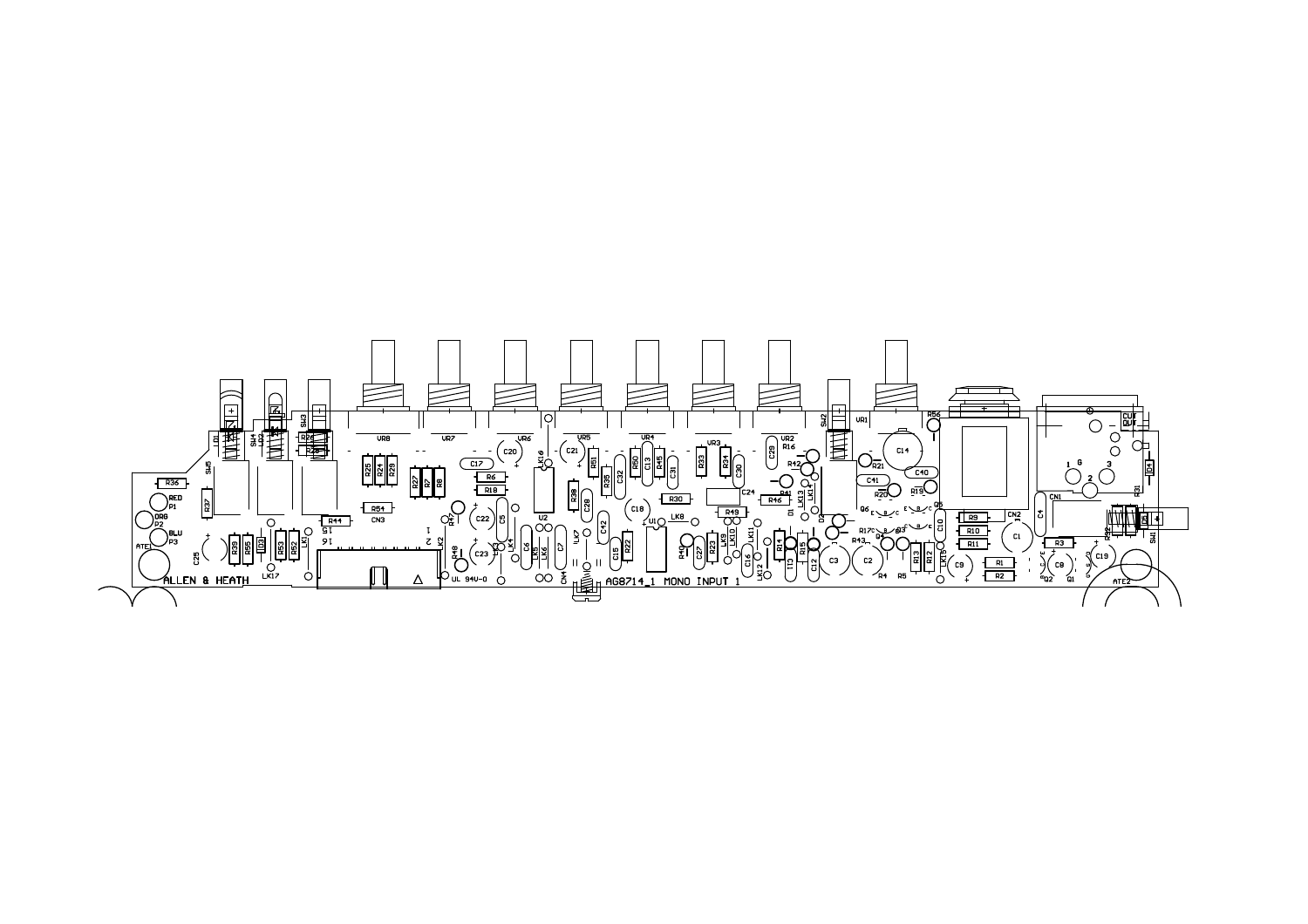